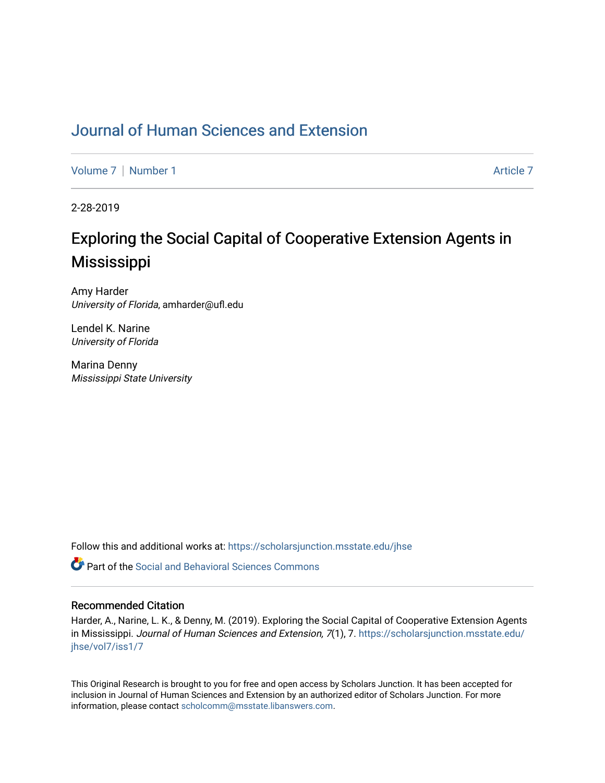# [Journal of Human Sciences and Extension](https://scholarsjunction.msstate.edu/jhse)

[Volume 7](https://scholarsjunction.msstate.edu/jhse/vol7) | [Number 1](https://scholarsjunction.msstate.edu/jhse/vol7/iss1) Article 7

2-28-2019

# Exploring the Social Capital of Cooperative Extension Agents in Mississippi

Amy Harder University of Florida, amharder@ufl.edu

Lendel K. Narine University of Florida

Marina Denny Mississippi State University

Follow this and additional works at: [https://scholarsjunction.msstate.edu/jhse](https://scholarsjunction.msstate.edu/jhse?utm_source=scholarsjunction.msstate.edu%2Fjhse%2Fvol7%2Fiss1%2F7&utm_medium=PDF&utm_campaign=PDFCoverPages)

**P** Part of the Social and Behavioral Sciences Commons

#### Recommended Citation

Harder, A., Narine, L. K., & Denny, M. (2019). Exploring the Social Capital of Cooperative Extension Agents in Mississippi. Journal of Human Sciences and Extension, 7(1), 7. [https://scholarsjunction.msstate.edu/](https://scholarsjunction.msstate.edu/jhse/vol7/iss1/7?utm_source=scholarsjunction.msstate.edu%2Fjhse%2Fvol7%2Fiss1%2F7&utm_medium=PDF&utm_campaign=PDFCoverPages) [jhse/vol7/iss1/7](https://scholarsjunction.msstate.edu/jhse/vol7/iss1/7?utm_source=scholarsjunction.msstate.edu%2Fjhse%2Fvol7%2Fiss1%2F7&utm_medium=PDF&utm_campaign=PDFCoverPages)

This Original Research is brought to you for free and open access by Scholars Junction. It has been accepted for inclusion in Journal of Human Sciences and Extension by an authorized editor of Scholars Junction. For more information, please contact [scholcomm@msstate.libanswers.com](mailto:scholcomm@msstate.libanswers.com).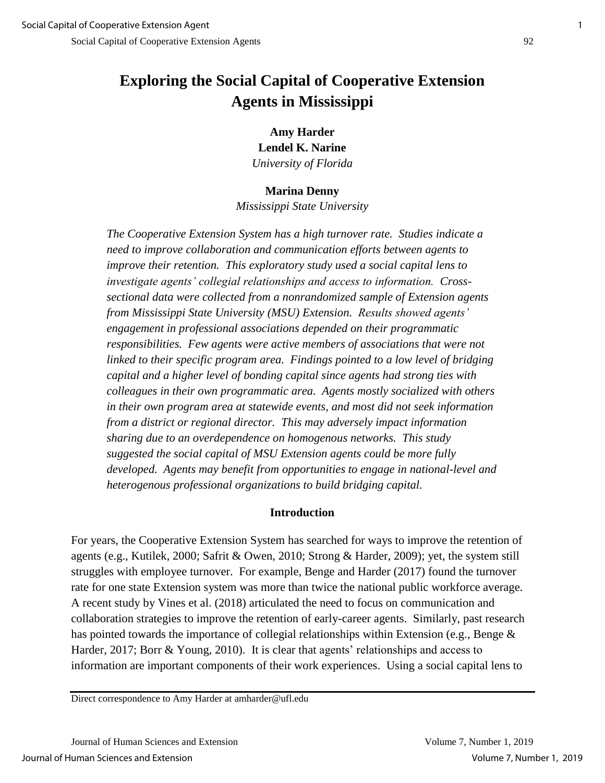# **Exploring the Social Capital of Cooperative Extension Agents in Mississippi**

**Amy Harder Lendel K. Narine** *University of Florida*

#### **Marina Denny**

*Mississippi State University*

*The Cooperative Extension System has a high turnover rate. Studies indicate a need to improve collaboration and communication efforts between agents to improve their retention. This exploratory study used a social capital lens to investigate agents' collegial relationships and access to information. Crosssectional data were collected from a nonrandomized sample of Extension agents from Mississippi State University (MSU) Extension. Results showed agents' engagement in professional associations depended on their programmatic responsibilities. Few agents were active members of associations that were not linked to their specific program area. Findings pointed to a low level of bridging capital and a higher level of bonding capital since agents had strong ties with colleagues in their own programmatic area. Agents mostly socialized with others in their own program area at statewide events, and most did not seek information from a district or regional director. This may adversely impact information sharing due to an overdependence on homogenous networks. This study suggested the social capital of MSU Extension agents could be more fully developed. Agents may benefit from opportunities to engage in national-level and heterogenous professional organizations to build bridging capital.*

### **Introduction**

For years, the Cooperative Extension System has searched for ways to improve the retention of agents (e.g., Kutilek, 2000; Safrit & Owen, 2010; Strong & Harder, 2009); yet, the system still struggles with employee turnover. For example, Benge and Harder (2017) found the turnover rate for one state Extension system was more than twice the national public workforce average. A recent study by Vines et al. (2018) articulated the need to focus on communication and collaboration strategies to improve the retention of early-career agents. Similarly, past research has pointed towards the importance of collegial relationships within Extension (e.g., Benge & Harder, 2017; Borr & Young, 2010). It is clear that agents' relationships and access to information are important components of their work experiences. Using a social capital lens to

Direct correspondence to Amy Harder at amharder@ufl.edu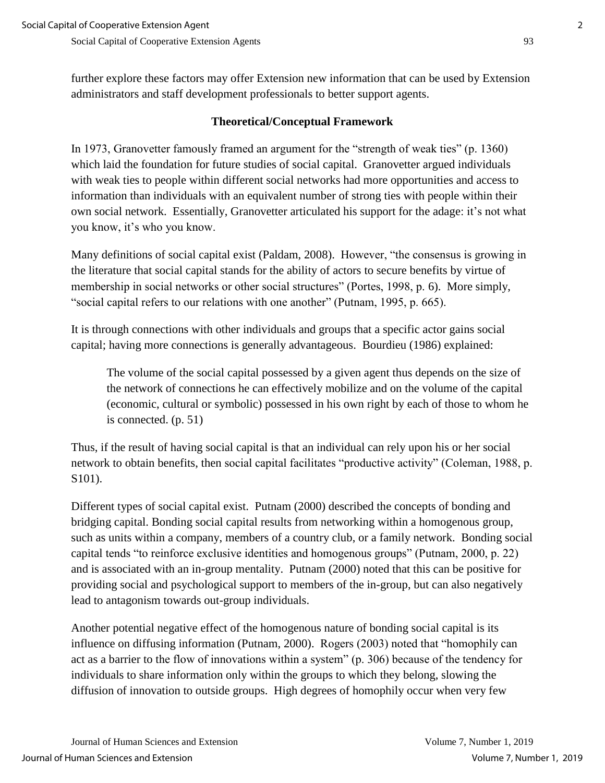further explore these factors may offer Extension new information that can be used by Extension administrators and staff development professionals to better support agents.

### **Theoretical/Conceptual Framework**

In 1973, Granovetter famously framed an argument for the "strength of weak ties" (p. 1360) which laid the foundation for future studies of social capital. Granovetter argued individuals with weak ties to people within different social networks had more opportunities and access to information than individuals with an equivalent number of strong ties with people within their own social network. Essentially, Granovetter articulated his support for the adage: it's not what you know, it's who you know.

Many definitions of social capital exist (Paldam, 2008). However, "the consensus is growing in the literature that social capital stands for the ability of actors to secure benefits by virtue of membership in social networks or other social structures" (Portes, 1998, p. 6). More simply, "social capital refers to our relations with one another" (Putnam, 1995, p. 665).

It is through connections with other individuals and groups that a specific actor gains social capital; having more connections is generally advantageous. Bourdieu (1986) explained:

The volume of the social capital possessed by a given agent thus depends on the size of the network of connections he can effectively mobilize and on the volume of the capital (economic, cultural or symbolic) possessed in his own right by each of those to whom he is connected. (p. 51)

Thus, if the result of having social capital is that an individual can rely upon his or her social network to obtain benefits, then social capital facilitates "productive activity" (Coleman, 1988, p. S101).

Different types of social capital exist. Putnam (2000) described the concepts of bonding and bridging capital. Bonding social capital results from networking within a homogenous group, such as units within a company, members of a country club, or a family network. Bonding social capital tends "to reinforce exclusive identities and homogenous groups" (Putnam, 2000, p. 22) and is associated with an in-group mentality. Putnam (2000) noted that this can be positive for providing social and psychological support to members of the in-group, but can also negatively lead to antagonism towards out-group individuals.

Another potential negative effect of the homogenous nature of bonding social capital is its influence on diffusing information (Putnam, 2000). Rogers (2003) noted that "homophily can act as a barrier to the flow of innovations within a system" (p. 306) because of the tendency for individuals to share information only within the groups to which they belong, slowing the diffusion of innovation to outside groups. High degrees of homophily occur when very few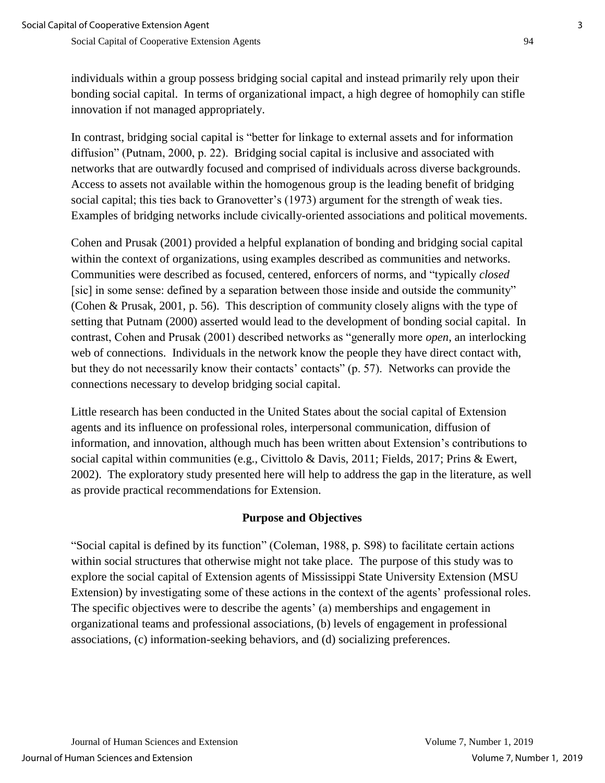individuals within a group possess bridging social capital and instead primarily rely upon their bonding social capital. In terms of organizational impact, a high degree of homophily can stifle innovation if not managed appropriately.

In contrast, bridging social capital is "better for linkage to external assets and for information diffusion" (Putnam, 2000, p. 22). Bridging social capital is inclusive and associated with networks that are outwardly focused and comprised of individuals across diverse backgrounds. Access to assets not available within the homogenous group is the leading benefit of bridging social capital; this ties back to Granovetter's (1973) argument for the strength of weak ties. Examples of bridging networks include civically-oriented associations and political movements.

Cohen and Prusak (2001) provided a helpful explanation of bonding and bridging social capital within the context of organizations, using examples described as communities and networks. Communities were described as focused, centered, enforcers of norms, and "typically *closed* [sic] in some sense: defined by a separation between those inside and outside the community" (Cohen & Prusak, 2001, p. 56). This description of community closely aligns with the type of setting that Putnam (2000) asserted would lead to the development of bonding social capital. In contrast, Cohen and Prusak (2001) described networks as "generally more *open*, an interlocking web of connections. Individuals in the network know the people they have direct contact with, but they do not necessarily know their contacts' contacts" (p. 57). Networks can provide the connections necessary to develop bridging social capital.

Little research has been conducted in the United States about the social capital of Extension agents and its influence on professional roles, interpersonal communication, diffusion of information, and innovation, although much has been written about Extension's contributions to social capital within communities (e.g., Civittolo & Davis, 2011; Fields, 2017; Prins & Ewert, 2002). The exploratory study presented here will help to address the gap in the literature, as well as provide practical recommendations for Extension.

### **Purpose and Objectives**

"Social capital is defined by its function" (Coleman, 1988, p. S98) to facilitate certain actions within social structures that otherwise might not take place. The purpose of this study was to explore the social capital of Extension agents of Mississippi State University Extension (MSU Extension) by investigating some of these actions in the context of the agents' professional roles. The specific objectives were to describe the agents' (a) memberships and engagement in organizational teams and professional associations, (b) levels of engagement in professional associations, (c) information-seeking behaviors, and (d) socializing preferences.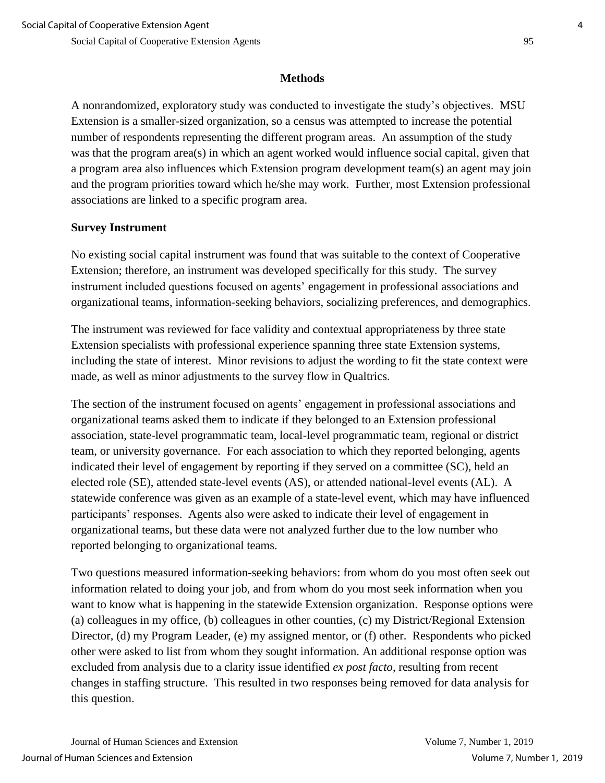### **Methods**

A nonrandomized, exploratory study was conducted to investigate the study's objectives. MSU Extension is a smaller-sized organization, so a census was attempted to increase the potential number of respondents representing the different program areas. An assumption of the study was that the program area(s) in which an agent worked would influence social capital, given that a program area also influences which Extension program development team(s) an agent may join and the program priorities toward which he/she may work. Further, most Extension professional associations are linked to a specific program area.

# **Survey Instrument**

No existing social capital instrument was found that was suitable to the context of Cooperative Extension; therefore, an instrument was developed specifically for this study. The survey instrument included questions focused on agents' engagement in professional associations and organizational teams, information-seeking behaviors, socializing preferences, and demographics.

The instrument was reviewed for face validity and contextual appropriateness by three state Extension specialists with professional experience spanning three state Extension systems, including the state of interest. Minor revisions to adjust the wording to fit the state context were made, as well as minor adjustments to the survey flow in Qualtrics.

The section of the instrument focused on agents' engagement in professional associations and organizational teams asked them to indicate if they belonged to an Extension professional association, state-level programmatic team, local-level programmatic team, regional or district team, or university governance. For each association to which they reported belonging, agents indicated their level of engagement by reporting if they served on a committee (SC), held an elected role (SE), attended state-level events (AS), or attended national-level events (AL). A statewide conference was given as an example of a state-level event, which may have influenced participants' responses. Agents also were asked to indicate their level of engagement in organizational teams, but these data were not analyzed further due to the low number who reported belonging to organizational teams.

Two questions measured information-seeking behaviors: from whom do you most often seek out information related to doing your job, and from whom do you most seek information when you want to know what is happening in the statewide Extension organization. Response options were (a) colleagues in my office, (b) colleagues in other counties, (c) my District/Regional Extension Director, (d) my Program Leader, (e) my assigned mentor, or (f) other. Respondents who picked other were asked to list from whom they sought information. An additional response option was excluded from analysis due to a clarity issue identified *ex post facto*, resulting from recent changes in staffing structure. This resulted in two responses being removed for data analysis for this question.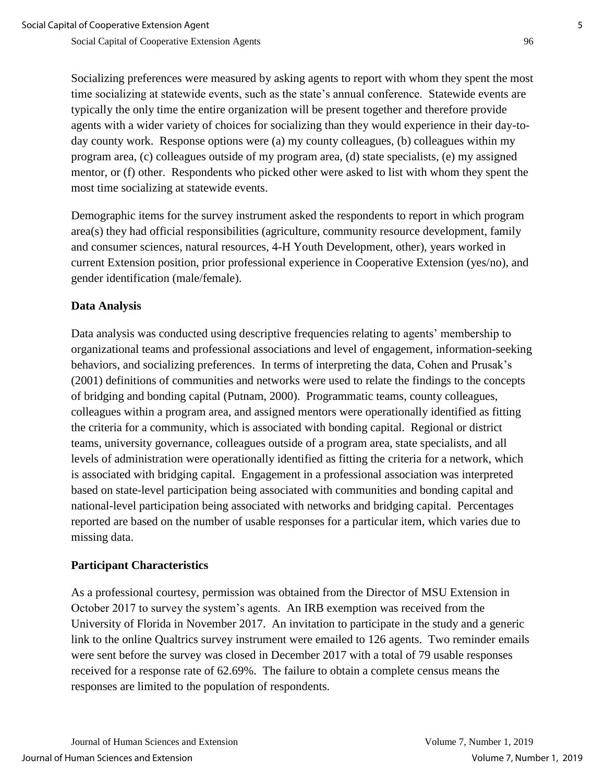Socializing preferences were measured by asking agents to report with whom they spent the most time socializing at statewide events, such as the state's annual conference. Statewide events are typically the only time the entire organization will be present together and therefore provide agents with a wider variety of choices for socializing than they would experience in their day-today county work. Response options were (a) my county colleagues, (b) colleagues within my program area, (c) colleagues outside of my program area, (d) state specialists, (e) my assigned mentor, or (f) other. Respondents who picked other were asked to list with whom they spent the most time socializing at statewide events.

Demographic items for the survey instrument asked the respondents to report in which program area(s) they had official responsibilities (agriculture, community resource development, family and consumer sciences, natural resources, 4-H Youth Development, other), years worked in current Extension position, prior professional experience in Cooperative Extension (yes/no), and gender identification (male/female).

# **Data Analysis**

Data analysis was conducted using descriptive frequencies relating to agents' membership to organizational teams and professional associations and level of engagement, information-seeking behaviors, and socializing preferences. In terms of interpreting the data, Cohen and Prusak's (2001) definitions of communities and networks were used to relate the findings to the concepts of bridging and bonding capital (Putnam, 2000). Programmatic teams, county colleagues, colleagues within a program area, and assigned mentors were operationally identified as fitting the criteria for a community, which is associated with bonding capital. Regional or district teams, university governance, colleagues outside of a program area, state specialists, and all levels of administration were operationally identified as fitting the criteria for a network, which is associated with bridging capital. Engagement in a professional association was interpreted based on state-level participation being associated with communities and bonding capital and national-level participation being associated with networks and bridging capital. Percentages reported are based on the number of usable responses for a particular item, which varies due to missing data.

### **Participant Characteristics**

As a professional courtesy, permission was obtained from the Director of MSU Extension in October 2017 to survey the system's agents. An IRB exemption was received from the University of Florida in November 2017. An invitation to participate in the study and a generic link to the online Qualtrics survey instrument were emailed to 126 agents. Two reminder emails were sent before the survey was closed in December 2017 with a total of 79 usable responses received for a response rate of 62.69%. The failure to obtain a complete census means the responses are limited to the population of respondents.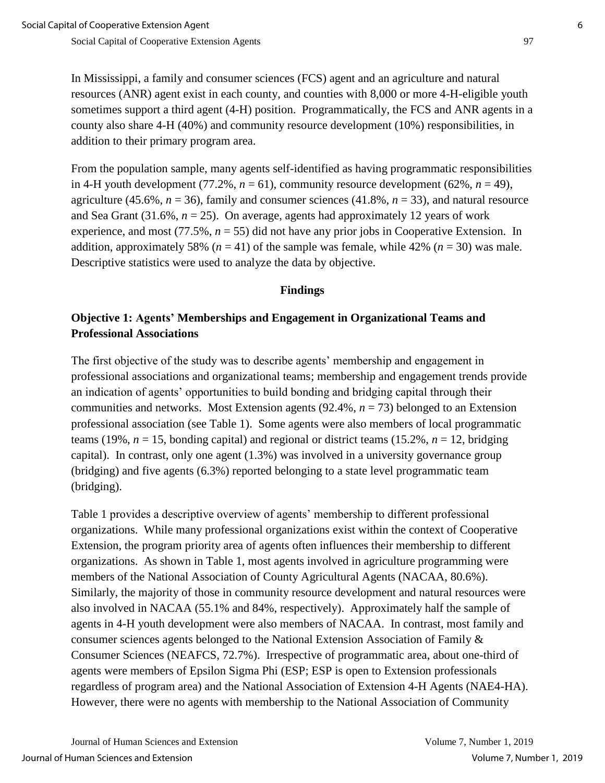In Mississippi, a family and consumer sciences (FCS) agent and an agriculture and natural resources (ANR) agent exist in each county, and counties with 8,000 or more 4-H-eligible youth sometimes support a third agent (4-H) position. Programmatically, the FCS and ANR agents in a county also share 4-H (40%) and community resource development (10%) responsibilities, in addition to their primary program area.

From the population sample, many agents self-identified as having programmatic responsibilities in 4-H youth development (77.2%,  $n = 61$ ), community resource development (62%,  $n = 49$ ), agriculture (45.6%,  $n = 36$ ), family and consumer sciences (41.8%,  $n = 33$ ), and natural resource and Sea Grant  $(31.6\%, n = 25)$ . On average, agents had approximately 12 years of work experience, and most (77.5%, *n* = 55) did not have any prior jobs in Cooperative Extension. In addition, approximately 58% ( $n = 41$ ) of the sample was female, while 42% ( $n = 30$ ) was male. Descriptive statistics were used to analyze the data by objective.

### **Findings**

# **Objective 1: Agents' Memberships and Engagement in Organizational Teams and Professional Associations**

The first objective of the study was to describe agents' membership and engagement in professional associations and organizational teams; membership and engagement trends provide an indication of agents' opportunities to build bonding and bridging capital through their communities and networks. Most Extension agents (92.4%, *n* = 73) belonged to an Extension professional association (see Table 1). Some agents were also members of local programmatic teams (19%,  $n = 15$ , bonding capital) and regional or district teams (15.2%,  $n = 12$ , bridging capital). In contrast, only one agent (1.3%) was involved in a university governance group (bridging) and five agents (6.3%) reported belonging to a state level programmatic team (bridging).

Table 1 provides a descriptive overview of agents' membership to different professional organizations. While many professional organizations exist within the context of Cooperative Extension, the program priority area of agents often influences their membership to different organizations. As shown in Table 1, most agents involved in agriculture programming were members of the National Association of County Agricultural Agents (NACAA, 80.6%). Similarly, the majority of those in community resource development and natural resources were also involved in NACAA (55.1% and 84%, respectively). Approximately half the sample of agents in 4-H youth development were also members of NACAA. In contrast, most family and consumer sciences agents belonged to the National Extension Association of Family & Consumer Sciences (NEAFCS, 72.7%). Irrespective of programmatic area, about one-third of agents were members of Epsilon Sigma Phi (ESP; ESP is open to Extension professionals regardless of program area) and the National Association of Extension 4-H Agents (NAE4-HA). However, there were no agents with membership to the National Association of Community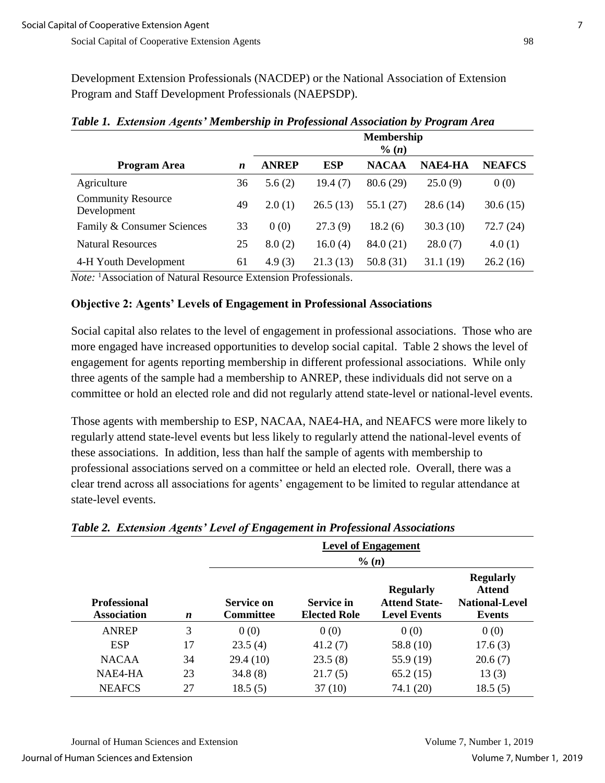Development Extension Professionals (NACDEP) or the National Association of Extension Program and Staff Development Professionals (NAEPSDP).

|                                          |    | <b>Membership</b><br>$\%$ (n) |            |              |          |               |
|------------------------------------------|----|-------------------------------|------------|--------------|----------|---------------|
| Program Area                             | n  | <b>ANREP</b>                  | <b>ESP</b> | <b>NACAA</b> | NAE4-HA  | <b>NEAFCS</b> |
| Agriculture                              | 36 | 5.6(2)                        | 19.4 (7)   | 80.6(29)     | 25.0(9)  | 0(0)          |
| <b>Community Resource</b><br>Development | 49 | 2.0(1)                        | 26.5(13)   | 55.1 (27)    | 28.6(14) | 30.6(15)      |
| Family & Consumer Sciences               | 33 | 0(0)                          | 27.3(9)    | 18.2(6)      | 30.3(10) | 72.7(24)      |
| <b>Natural Resources</b>                 | 25 | 8.0(2)                        | 16.0(4)    | 84.0 (21)    | 28.0(7)  | 4.0(1)        |
| 4-H Youth Development                    | 61 | 4.9(3)                        | 21.3(13)   | 50.8(31)     | 31.1(19) | 26.2(16)      |

*Table 1. Extension Agents' Membership in Professional Association by Program Area*

*Note:* <sup>1</sup>Association of Natural Resource Extension Professionals.

#### **Objective 2: Agents' Levels of Engagement in Professional Associations**

Social capital also relates to the level of engagement in professional associations. Those who are more engaged have increased opportunities to develop social capital. Table 2 shows the level of engagement for agents reporting membership in different professional associations. While only three agents of the sample had a membership to ANREP, these individuals did not serve on a committee or hold an elected role and did not regularly attend state-level or national-level events.

Those agents with membership to ESP, NACAA, NAE4-HA, and NEAFCS were more likely to regularly attend state-level events but less likely to regularly attend the national-level events of these associations. In addition, less than half the sample of agents with membership to professional associations served on a committee or held an elected role. Overall, there was a clear trend across all associations for agents' engagement to be limited to regular attendance at state-level events.

|                                           |                  |                                |                                          | <b>Level of Engagement</b><br>$\%$ $(n)$                        |                                                                      |
|-------------------------------------------|------------------|--------------------------------|------------------------------------------|-----------------------------------------------------------------|----------------------------------------------------------------------|
| <b>Professional</b><br><b>Association</b> | $\boldsymbol{n}$ | Service on<br><b>Committee</b> | <b>Service in</b><br><b>Elected Role</b> | <b>Regularly</b><br><b>Attend State-</b><br><b>Level Events</b> | <b>Regularly</b><br><b>Attend</b><br><b>National-Level</b><br>Events |
| ANREP                                     | 3                | 0(0)                           | 0(0)                                     | 0(0)                                                            | 0(0)                                                                 |
| <b>ESP</b>                                | 17               | 23.5(4)                        | 41.2(7)                                  | 58.8 (10)                                                       | 17.6(3)                                                              |
| <b>NACAA</b>                              | 34               | 29.4(10)                       | 23.5(8)                                  | 55.9 (19)                                                       | 20.6(7)                                                              |
| NAE4-HA                                   | 23               | 34.8(8)                        | 21.7(5)                                  | 65.2(15)                                                        | 13(3)                                                                |
| <b>NEAFCS</b>                             | 27               | 18.5(5)                        | 37(10)                                   | 74.1 (20)                                                       | 18.5(5)                                                              |

*Table 2. Extension Agents' Level of Engagement in Professional Associations*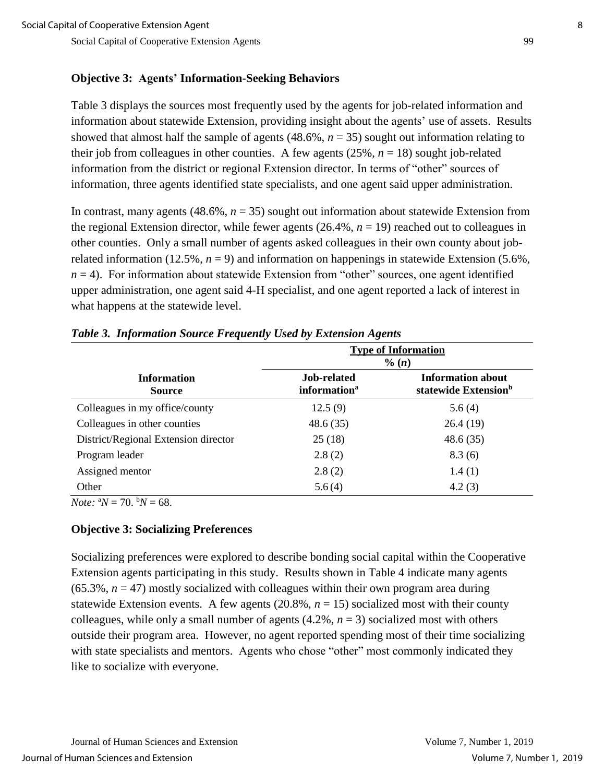# **Objective 3: Agents' Information-Seeking Behaviors**

Table 3 displays the sources most frequently used by the agents for job-related information and information about statewide Extension, providing insight about the agents' use of assets. Results showed that almost half the sample of agents  $(48.6\%, n = 35)$  sought out information relating to their job from colleagues in other counties. A few agents  $(25\%, n = 18)$  sought job-related information from the district or regional Extension director. In terms of "other" sources of information, three agents identified state specialists, and one agent said upper administration.

In contrast, many agents  $(48.6\%, n = 35)$  sought out information about statewide Extension from the regional Extension director, while fewer agents  $(26.4\%, n = 19)$  reached out to colleagues in other counties. Only a small number of agents asked colleagues in their own county about jobrelated information (12.5%,  $n = 9$ ) and information on happenings in statewide Extension (5.6%,  $n = 4$ ). For information about statewide Extension from "other" sources, one agent identified upper administration, one agent said 4-H specialist, and one agent reported a lack of interest in what happens at the statewide level.

|                                      | <b>Type of Information</b><br>$\%$ (n)  |                                                              |  |  |
|--------------------------------------|-----------------------------------------|--------------------------------------------------------------|--|--|
| <b>Information</b><br><b>Source</b>  | Job-related<br>information <sup>a</sup> | <b>Information about</b><br>statewide Extension <sup>b</sup> |  |  |
| Colleagues in my office/county       | 12.5(9)                                 | 5.6(4)                                                       |  |  |
| Colleagues in other counties         | 48.6(35)                                | 26.4(19)                                                     |  |  |
| District/Regional Extension director | 25(18)                                  | 48.6(35)                                                     |  |  |
| Program leader                       | 2.8(2)                                  | 8.3(6)                                                       |  |  |
| Assigned mentor                      | 2.8(2)                                  | 1.4(1)                                                       |  |  |
| Other                                | 5.6(4)                                  | 4.2(3)                                                       |  |  |

#### *Table 3. Information Source Frequently Used by Extension Agents*

*Note:*  ${}^{\text{a}}N = 70$ .  ${}^{\text{b}}N = 68$ .

### **Objective 3: Socializing Preferences**

Socializing preferences were explored to describe bonding social capital within the Cooperative Extension agents participating in this study. Results shown in Table 4 indicate many agents  $(65.3\%, n = 47)$  mostly socialized with colleagues within their own program area during statewide Extension events. A few agents  $(20.8\%, n = 15)$  socialized most with their county colleagues, while only a small number of agents  $(4.2\%, n = 3)$  socialized most with others outside their program area. However, no agent reported spending most of their time socializing with state specialists and mentors. Agents who chose "other" most commonly indicated they like to socialize with everyone.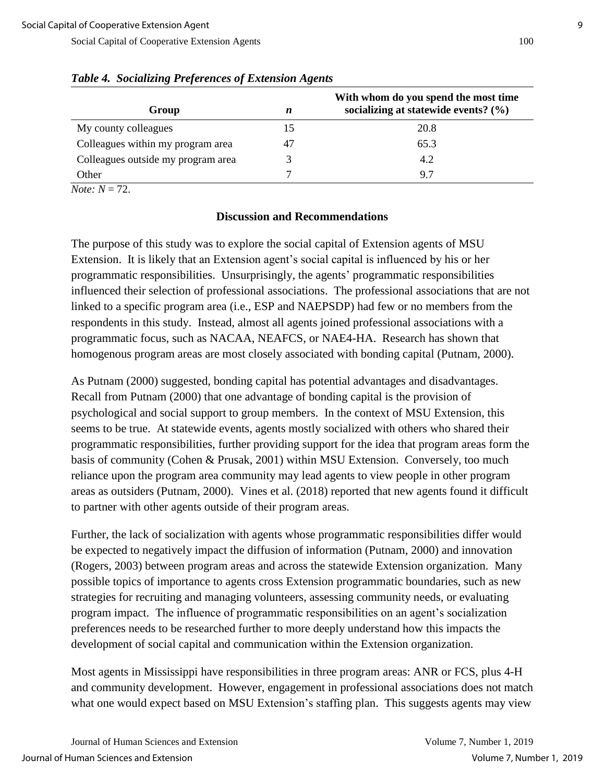| Group                              | n  | With whom do you spend the most time<br>socializing at statewide events? $(\% )$ |
|------------------------------------|----|----------------------------------------------------------------------------------|
| My county colleagues               | 15 | 20.8                                                                             |
| Colleagues within my program area  | 47 | 65.3                                                                             |
| Colleagues outside my program area |    | 4.2                                                                              |
| Other                              |    | 97                                                                               |

#### *Table 4. Socializing Preferences of Extension Agents*

*Note:*  $N = 72$ .

#### **Discussion and Recommendations**

The purpose of this study was to explore the social capital of Extension agents of MSU Extension. It is likely that an Extension agent's social capital is influenced by his or her programmatic responsibilities. Unsurprisingly, the agents' programmatic responsibilities influenced their selection of professional associations. The professional associations that are not linked to a specific program area (i.e., ESP and NAEPSDP) had few or no members from the respondents in this study. Instead, almost all agents joined professional associations with a programmatic focus, such as NACAA, NEAFCS, or NAE4-HA. Research has shown that homogenous program areas are most closely associated with bonding capital (Putnam, 2000).

As Putnam (2000) suggested, bonding capital has potential advantages and disadvantages. Recall from Putnam (2000) that one advantage of bonding capital is the provision of psychological and social support to group members. In the context of MSU Extension, this seems to be true. At statewide events, agents mostly socialized with others who shared their programmatic responsibilities, further providing support for the idea that program areas form the basis of community (Cohen & Prusak, 2001) within MSU Extension. Conversely, too much reliance upon the program area community may lead agents to view people in other program areas as outsiders (Putnam, 2000). Vines et al. (2018) reported that new agents found it difficult to partner with other agents outside of their program areas.

Further, the lack of socialization with agents whose programmatic responsibilities differ would be expected to negatively impact the diffusion of information (Putnam, 2000) and innovation (Rogers, 2003) between program areas and across the statewide Extension organization. Many possible topics of importance to agents cross Extension programmatic boundaries, such as new strategies for recruiting and managing volunteers, assessing community needs, or evaluating program impact. The influence of programmatic responsibilities on an agent's socialization preferences needs to be researched further to more deeply understand how this impacts the development of social capital and communication within the Extension organization.

Most agents in Mississippi have responsibilities in three program areas: ANR or FCS, plus 4-H and community development. However, engagement in professional associations does not match what one would expect based on MSU Extension's staffing plan. This suggests agents may view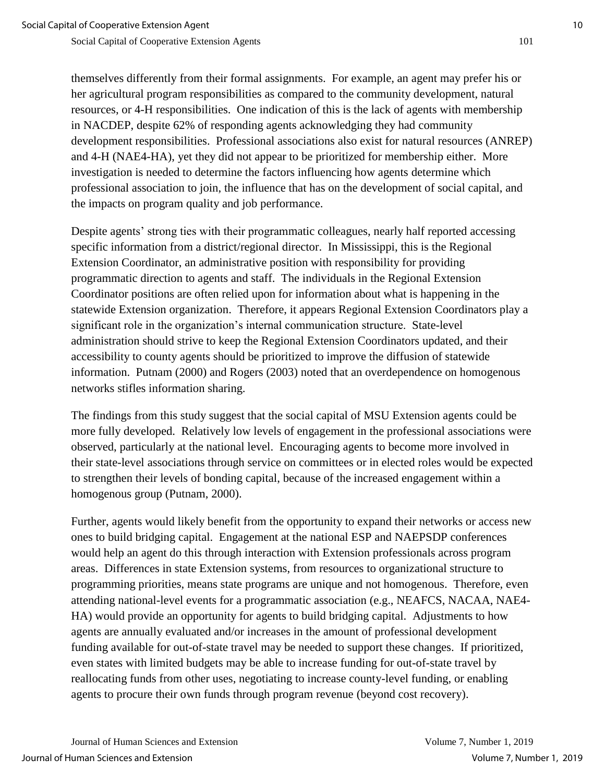themselves differently from their formal assignments. For example, an agent may prefer his or her agricultural program responsibilities as compared to the community development, natural resources, or 4-H responsibilities. One indication of this is the lack of agents with membership in NACDEP, despite 62% of responding agents acknowledging they had community development responsibilities. Professional associations also exist for natural resources (ANREP) and 4-H (NAE4-HA), yet they did not appear to be prioritized for membership either. More investigation is needed to determine the factors influencing how agents determine which professional association to join, the influence that has on the development of social capital, and the impacts on program quality and job performance.

Despite agents' strong ties with their programmatic colleagues, nearly half reported accessing specific information from a district/regional director. In Mississippi, this is the Regional Extension Coordinator, an administrative position with responsibility for providing programmatic direction to agents and staff. The individuals in the Regional Extension Coordinator positions are often relied upon for information about what is happening in the statewide Extension organization. Therefore, it appears Regional Extension Coordinators play a significant role in the organization's internal communication structure. State-level administration should strive to keep the Regional Extension Coordinators updated, and their accessibility to county agents should be prioritized to improve the diffusion of statewide information. Putnam (2000) and Rogers (2003) noted that an overdependence on homogenous networks stifles information sharing.

The findings from this study suggest that the social capital of MSU Extension agents could be more fully developed. Relatively low levels of engagement in the professional associations were observed, particularly at the national level. Encouraging agents to become more involved in their state-level associations through service on committees or in elected roles would be expected to strengthen their levels of bonding capital, because of the increased engagement within a homogenous group (Putnam, 2000).

Further, agents would likely benefit from the opportunity to expand their networks or access new ones to build bridging capital. Engagement at the national ESP and NAEPSDP conferences would help an agent do this through interaction with Extension professionals across program areas. Differences in state Extension systems, from resources to organizational structure to programming priorities, means state programs are unique and not homogenous. Therefore, even attending national-level events for a programmatic association (e.g., NEAFCS, NACAA, NAE4- HA) would provide an opportunity for agents to build bridging capital. Adjustments to how agents are annually evaluated and/or increases in the amount of professional development funding available for out-of-state travel may be needed to support these changes. If prioritized, even states with limited budgets may be able to increase funding for out-of-state travel by reallocating funds from other uses, negotiating to increase county-level funding, or enabling agents to procure their own funds through program revenue (beyond cost recovery).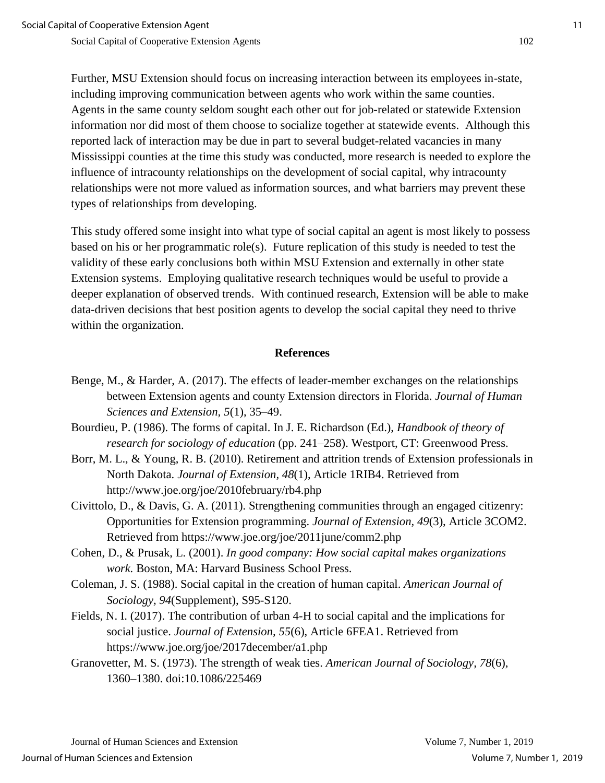Further, MSU Extension should focus on increasing interaction between its employees in-state, including improving communication between agents who work within the same counties. Agents in the same county seldom sought each other out for job-related or statewide Extension information nor did most of them choose to socialize together at statewide events. Although this reported lack of interaction may be due in part to several budget-related vacancies in many Mississippi counties at the time this study was conducted, more research is needed to explore the influence of intracounty relationships on the development of social capital, why intracounty relationships were not more valued as information sources, and what barriers may prevent these types of relationships from developing.

This study offered some insight into what type of social capital an agent is most likely to possess based on his or her programmatic role(s). Future replication of this study is needed to test the validity of these early conclusions both within MSU Extension and externally in other state Extension systems. Employing qualitative research techniques would be useful to provide a deeper explanation of observed trends. With continued research, Extension will be able to make data-driven decisions that best position agents to develop the social capital they need to thrive within the organization.

#### **References**

- Benge, M., & Harder, A. (2017). The effects of leader-member exchanges on the relationships between Extension agents and county Extension directors in Florida. *Journal of Human Sciences and Extension, 5*(1), 35–49.
- Bourdieu, P. (1986). The forms of capital. In J. E. Richardson (Ed.), *Handbook of theory of research for sociology of education* (pp. 241–258). Westport, CT: Greenwood Press.
- Borr, M. L., & Young, R. B. (2010). Retirement and attrition trends of Extension professionals in North Dakota. *Journal of Extension, 48*(1), Article 1RIB4. Retrieved from http://www.joe.org/joe/2010february/rb4.php
- Civittolo, D., & Davis, G. A. (2011). Strengthening communities through an engaged citizenry: Opportunities for Extension programming. *Journal of Extension, 49*(3), Article 3COM2. Retrieved from https://www.joe.org/joe/2011june/comm2.php
- Cohen, D., & Prusak, L. (2001). *In good company: How social capital makes organizations work.* Boston, MA: Harvard Business School Press.
- Coleman, J. S. (1988). Social capital in the creation of human capital. *American Journal of Sociology, 94*(Supplement), S95-S120.
- Fields, N. I. (2017). The contribution of urban 4-H to social capital and the implications for social justice. *Journal of Extension, 55*(6), Article 6FEA1. Retrieved from https://www.joe.org/joe/2017december/a1.php
- Granovetter, M. S. (1973). The strength of weak ties. *American Journal of Sociology, 78*(6), 1360–1380. doi:10.1086/225469